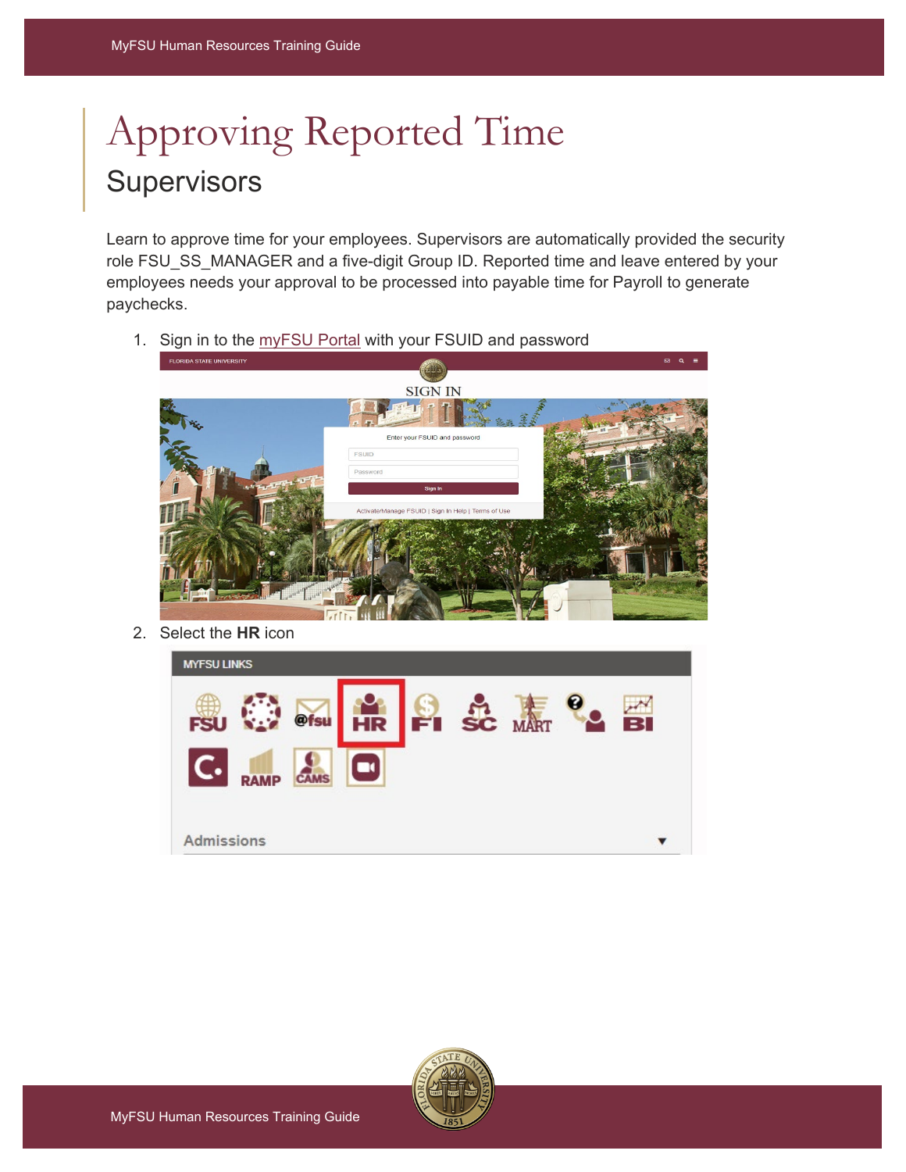## Approving Reported Time **Supervisors**

Learn to approve time for your employees. Supervisors are automatically provided the security role FSU\_SS\_MANAGER and a five-digit Group ID. Reported time and leave entered by your employees needs your approval to be processed into payable time for Payroll to generate paychecks.

1. Sign in to the [myFSU Portal](https://www.my.fsu.edu/) with your FSUID and password



2. Select the **HR** icon



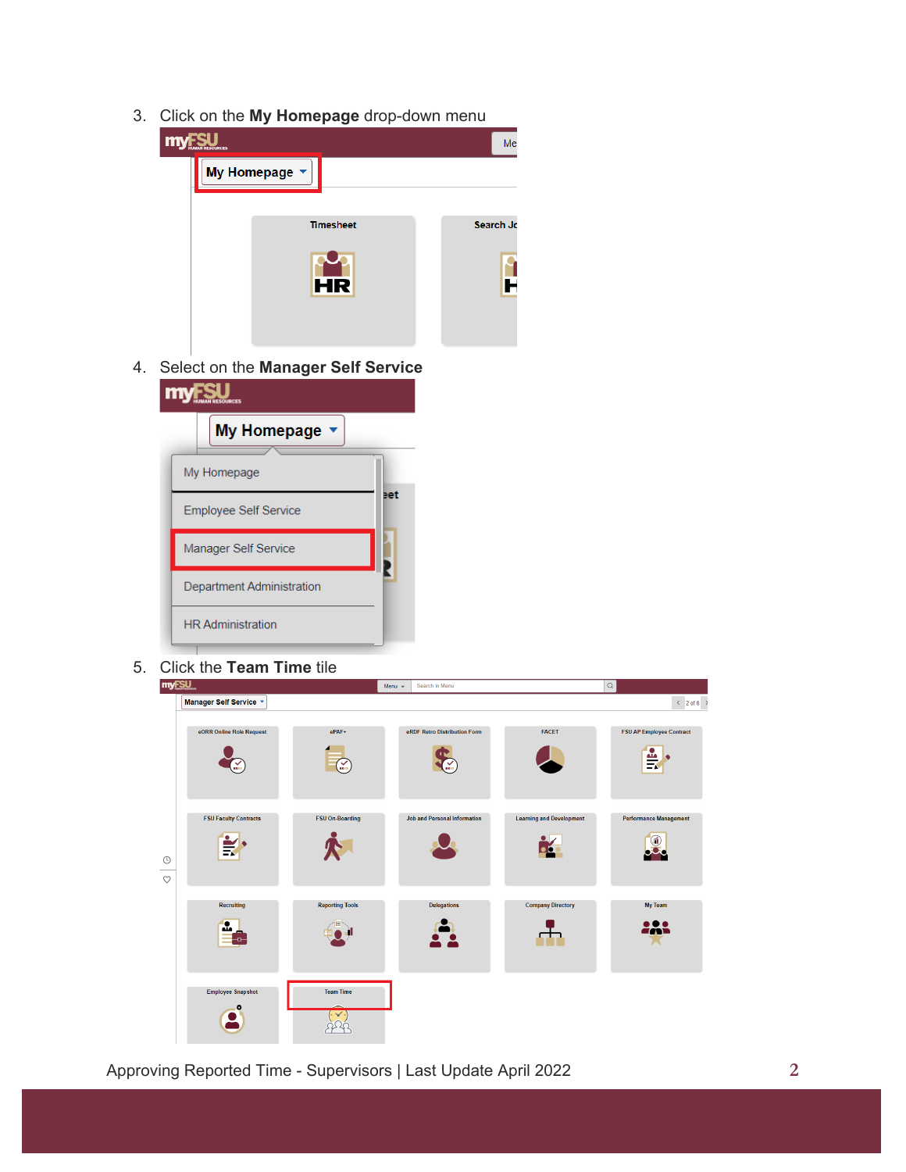3. Click on the **My Homepage** drop-down menu



4. Select on the **Manager Self Service**

| m                            |     |  |  |  |  |  |  |  |
|------------------------------|-----|--|--|--|--|--|--|--|
| <b>My Homepage</b>           |     |  |  |  |  |  |  |  |
| My Homepage                  |     |  |  |  |  |  |  |  |
| <b>Employee Self Service</b> | ∍et |  |  |  |  |  |  |  |
| Manager Self Service         |     |  |  |  |  |  |  |  |
| Department Administration    |     |  |  |  |  |  |  |  |
| <b>HR Administration</b>     |     |  |  |  |  |  |  |  |

5. Click the **Team Time** tile

| myFSU              |                              |                        | Menu $\mathbf{v}$ | Search in Menu                      |                                 | $\hbox{\scriptsize\textsf{Q}}$ |                                   |
|--------------------|------------------------------|------------------------|-------------------|-------------------------------------|---------------------------------|--------------------------------|-----------------------------------|
|                    | Manager Self Service v       |                        |                   |                                     |                                 |                                | $\langle 2 \text{ of } 6 \rangle$ |
|                    | eORR Online Role Request     | ePAF+<br>¥             |                   | eRDF Retro Distribution Form        | <b>FACET</b>                    |                                | <b>FSU AP Employee Contract</b>   |
| $\odot$<br>$\circ$ | <b>FSU Faculty Contracts</b> | <b>FSU On-Boarding</b> |                   | <b>Job and Personal Information</b> | <b>Learning and Development</b> |                                | <b>Performance Management</b>     |
|                    | Recruiting                   | <b>Reporting Tools</b> |                   | <b>Delegations</b>                  | <b>Company Directory</b>        |                                | My Team                           |
|                    | <b>Employee Snapshot</b>     | <b>Team Time</b>       |                   |                                     |                                 |                                |                                   |

Approving Reported Time - Supervisors | Last Update April 2022 **2**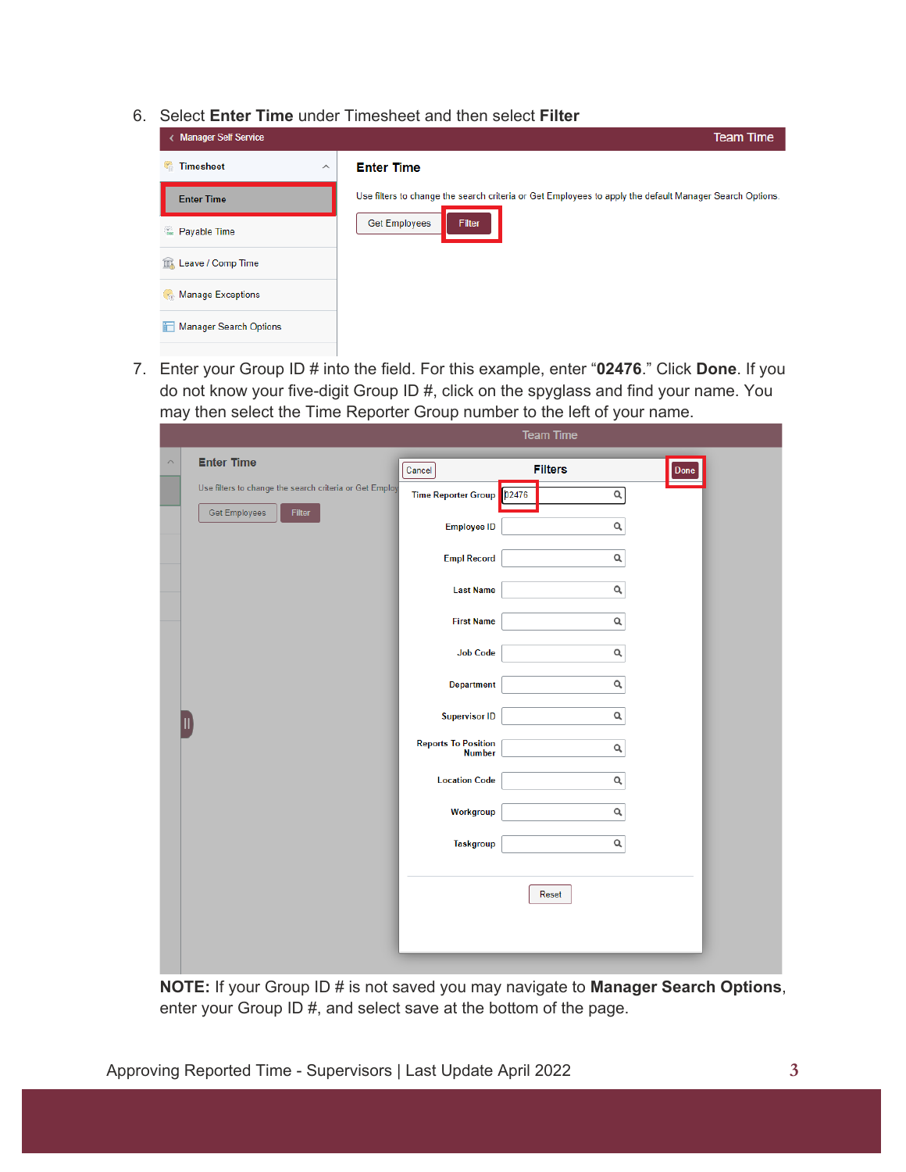6. Select **Enter Time** under Timesheet and then select **Filter**

| < Manager Self Service         | <b>Team Time</b>                                                                                        |
|--------------------------------|---------------------------------------------------------------------------------------------------------|
| <b>Timesheet</b><br>$\wedge$   | <b>Enter Time</b>                                                                                       |
| <b>Enter Time</b>              | Use filters to change the search criteria or Get Employees to apply the default Manager Search Options. |
| $\frac{1}{2}$<br>Payable Time  | <b>Get Employees</b><br><b>Filter</b>                                                                   |
| <b>III</b> , Leave / Comp Time |                                                                                                         |
| Manage Exceptions              |                                                                                                         |
| <b>Manager Search Options</b>  |                                                                                                         |
|                                |                                                                                                         |

7. Enter your Group ID # into the field. For this example, enter "**02476**." Click **Done**. If you do not know your five-digit Group ID #, click on the spyglass and find your name. You may then select the Time Reporter Group number to the left of your name.

|                                                         |                                             | <b>Team Time</b>       |  |
|---------------------------------------------------------|---------------------------------------------|------------------------|--|
| <b>Enter Time</b><br>$\curvearrowright$                 | Cancel                                      | <b>Filters</b><br>Done |  |
| Use filters to change the search criteria or Get Employ | Time Reporter Group   02476                 | $\mathsf{o}$           |  |
| Get Employees<br>Filter                                 | <b>Employee ID</b>                          | Q                      |  |
|                                                         | <b>Empl Record</b>                          | Q                      |  |
|                                                         | <b>Last Name</b>                            | Q                      |  |
|                                                         | <b>First Name</b>                           | Q                      |  |
|                                                         | <b>Job Code</b>                             | $\mathsf{Q}_i$         |  |
|                                                         | <b>Department</b>                           | Q                      |  |
|                                                         | <b>Supervisor ID</b>                        | Q                      |  |
|                                                         | <b>Reports To Position</b><br><b>Number</b> | Q                      |  |
|                                                         | <b>Location Code</b>                        | $\mathsf Q$            |  |
|                                                         | Workgroup                                   | $\mathsf Q$            |  |
|                                                         | <b>Taskgroup</b>                            | $\mathsf Q$            |  |
|                                                         |                                             |                        |  |
|                                                         |                                             | Reset                  |  |
|                                                         |                                             |                        |  |
|                                                         |                                             |                        |  |

**NOTE:** If your Group ID # is not saved you may navigate to **Manager Search Options**, enter your Group ID #, and select save at the bottom of the page.